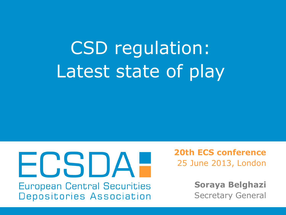# CSD regulation: Latest state of play

#### FCSDA-**European Central Securities** Depositories Association

**20th ECS conference** 25 June 2013, London

> **Soraya Belghazi** Secretary General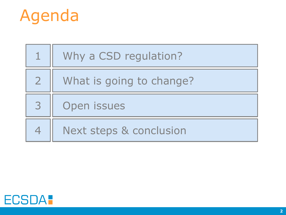

|              | Why a CSD regulation?    |
|--------------|--------------------------|
| $\mathbf{Z}$ | What is going to change? |
| 3            | Open issues              |
|              | Next steps & conclusion  |

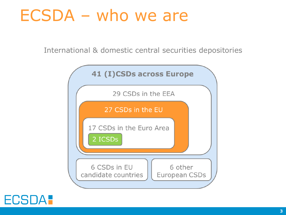#### ECSDA – who we are

International & domestic central securities depositories



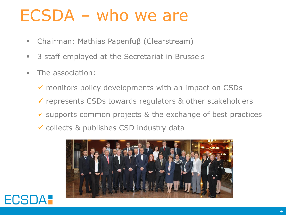#### ECSDA – who we are

- Chairman: Mathias Papenfuβ (Clearstream)
- 3 staff employed at the Secretariat in Brussels
- **The association:** 
	- $\checkmark$  monitors policy developments with an impact on CSDs
	- $\checkmark$  represents CSDs towards regulators & other stakeholders
	- $\checkmark$  supports common projects & the exchange of best practices
	- collects & publishes CSD industry data



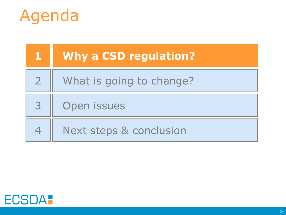

|                | <b>Why a CSD regulation?</b> |
|----------------|------------------------------|
| $\overline{2}$ | What is going to change?     |
| 3              | Open issues                  |
|                | Next steps & conclusion      |

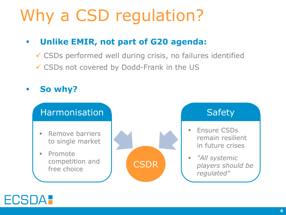## Why a CSD regulation?

#### **Unlike EMIR, not part of G20 agenda:**

 CSDs performed well during crisis, no failures identified CSDs not covered by Dodd-Frank in the US





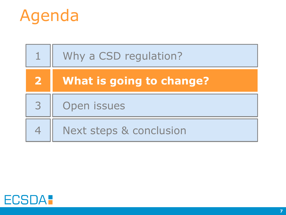

|              | Why a CSD regulation?    |
|--------------|--------------------------|
| $\mathbf{2}$ | What is going to change? |
| 3            | Open issues              |
|              | Next steps & conclusion  |

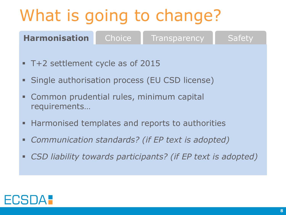- T+2 settlement cycle as of 2015
- Single authorisation process (EU CSD license)
- Common prudential rules, minimum capital requirements…
- Harmonised templates and reports to authorities
- *Communication standards? (if EP text is adopted)*
- *CSD liability towards participants? (if EP text is adopted)*

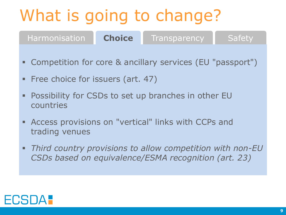- Competition for core & ancillary services (EU "passport")
- **Free choice for issuers (art. 47)**
- Possibility for CSDs to set up branches in other EU countries
- Access provisions on "vertical" links with CCPs and trading venues
- *Third country provisions to allow competition with non-EU CSDs based on equivalence/ESMA recognition (art. 23)*

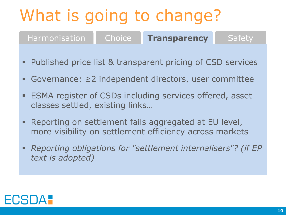- Published price list & transparent pricing of CSD services
- Governance: ≥2 independent directors, user committee
- ESMA register of CSDs including services offered, asset classes settled, existing links…
- Reporting on settlement fails aggregated at EU level, more visibility on settlement efficiency across markets
- *Reporting obligations for "settlement internalisers"? (if EP text is adopted)*

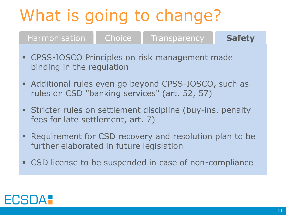- CPSS-IOSCO Principles on risk management made binding in the regulation
- Additional rules even go beyond CPSS-IOSCO, such as rules on CSD "banking services" (art. 52, 57)
- Stricter rules on settlement discipline (buy-ins, penalty fees for late settlement, art. 7)
- **Requirement for CSD recovery and resolution plan to be** further elaborated in future legislation
- CSD license to be suspended in case of non-compliance

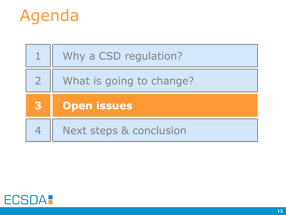

|                | Why a CSD regulation?    |
|----------------|--------------------------|
| $\overline{2}$ | What is going to change? |
|                |                          |
| 3              | <b>Open issues</b>       |

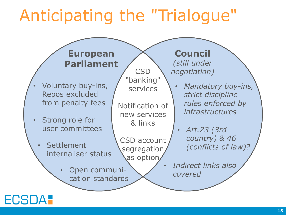#### Anticipating the "Trialogue"



#### **ECSDA:**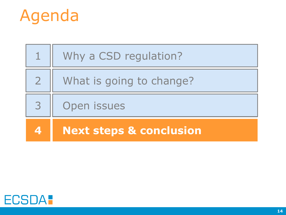

|              | Why a CSD regulation?              |
|--------------|------------------------------------|
| $\mathbf{Z}$ | What is going to change?           |
| 3            | Open issues                        |
|              | <b>Next steps &amp; conclusion</b> |

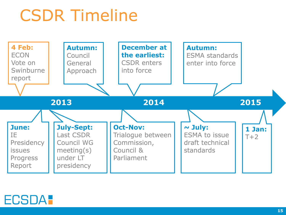## CSDR Timeline



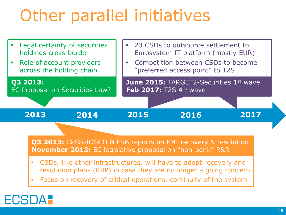## Other parallel initiatives



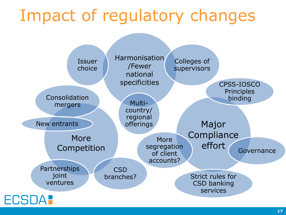#### Impact of regulatory changes

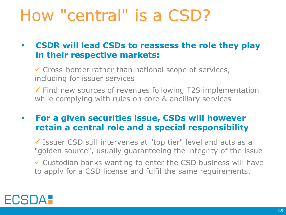#### How "central" is a CSD?

#### **CSDR will lead CSDs to reassess the role they play in their respective markets:**

 $\checkmark$  Cross-border rather than national scope of services, including for issuer services

 $\checkmark$  Find new sources of revenues following T2S implementation while complying with rules on core & ancillary services

#### **For a given securities issue, CSDs will however retain a central role and a special responsibility**

 $\checkmark$  Issuer CSD still intervenes at "top tier" level and acts as a "golden source", usually guaranteeing the integrity of the issue

 $\checkmark$  Custodian banks wanting to enter the CSD business will have to apply for a CSD license and fulfil the same requirements.